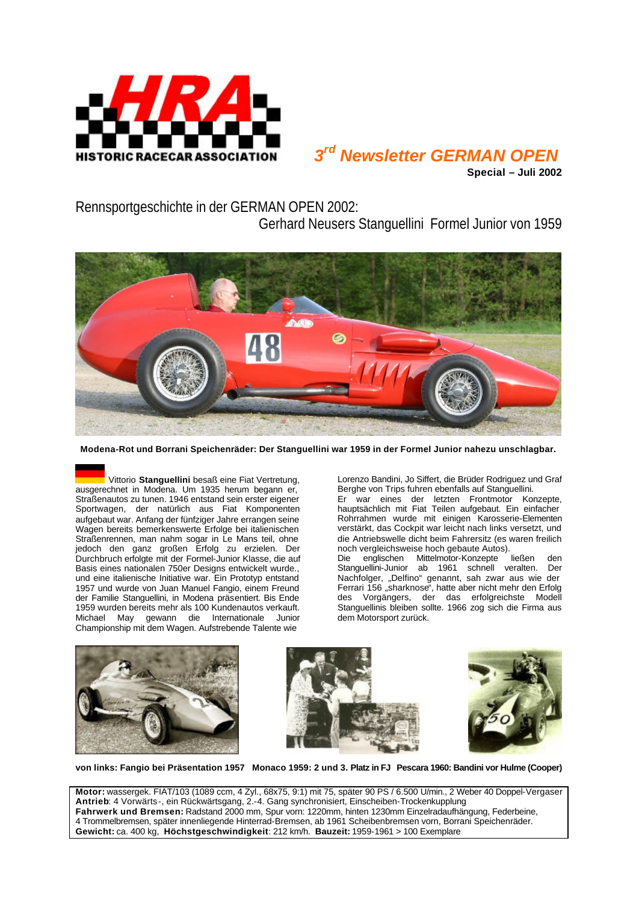

## *3 rd Newsletter GERMAN OPEN*

**Special – Juli 2002**

Rennsportgeschichte in der GERMAN OPEN 2002:

Gerhard Neusers Stanguellini Formel Junior von 1959



**Modena-Rot und Borrani Speichenräder: Der Stanguellini war 1959 in der Formel Junior nahezu unschlagbar.** 

Vittorio **Stanguellini** besaß eine Fiat Vertretung, ausgerechnet in Modena. Um 1935 herum begann er, Straßenautos zu tunen. 1946 entstand sein erster eigener Sportwagen, der natürlich aus Fiat Komponenten aufgebaut war. Anfang der fünfziger Jahre errangen seine Wagen bereits bemerkenswerte Erfolge bei italienischen Straßenrennen, man nahm sogar in Le Mans teil, ohne jedoch den ganz großen Erfolg zu erzielen. Der Durchbruch erfolgte mit der Formel-Junior Klasse, die auf Basis eines nationalen 750er Designs entwickelt wurde., und eine italienische Initiative war. Ein Prototyp entstand 1957 und wurde von Juan Manuel Fangio, einem Freund der Familie Stanguellini, in Modena präsentiert. Bis Ende 1959 wurden bereits mehr als 100 Kundenautos verkauft. Michael May gewann die Internationale Junior Championship mit dem Wagen. Aufstrebende Talente wie

Lorenzo Bandini, Jo Siffert, die Brüder Rodriguez und Graf Berghe von Trips fuhren ebenfalls auf Stanguellini. Er war eines der letzten Frontmotor Konzepte,

hauptsächlich mit Fiat Teilen aufgebaut. Ein einfacher Rohrrahmen wurde mit einigen Karosserie-Elementen verstärkt, das Cockpit war leicht nach links versetzt, und die Antriebswelle dicht beim Fahrersitz (es waren freilich noch vergleichsweise hoch gebaute Autos).<br>Die englischen Mittelmotor-Konzepte ließen

Die englischen Mittelmotor-Konzepte ließen den Stanguellini-Junior ab 1961 schnell veralten. Der Nachfolger, "Delfino" genannt, sah zwar aus wie der Ferrari 156 "sharknose", hatte aber nicht mehr den Erfolg des Vorgängers, der das erfolgreichste Modell Stanguellinis bleiben sollte. 1966 zog sich die Firma aus dem Motorsport zurück.







**von links: Fangio bei Präsentation 1957 Monaco 1959: 2 und 3. Platz in FJ Pescara 1960: Bandini vor Hulme (Cooper)**

**Motor:** wassergek. FIAT/103 (1089 ccm, 4 Zyl., 68x75, 9:1) mit 75, später 90 PS / 6.500 U/min., 2 Weber 40 Doppel-Vergaser **Antrieb**: 4 Vorwärts-, ein Rückwärtsgang, 2.-4. Gang synchronisiert, Einscheiben-Trockenkupplung **Fahrwerk und Bremsen:** Radstand 2000 mm, Spur vorn: 1220mm, hinten 1230mm Einzelradaufhängung, Federbeine, 4 Trommelbremsen, später innenliegende Hinterrad-Bremsen, ab 1961 Scheibenbremsen vorn, Borrani Speichenräder. **Gewicht:** ca. 400 kg, **Höchstgeschwindigkeit**: 212 km/h. **Bauzeit:** 1959-1961 > 100 Exemplare